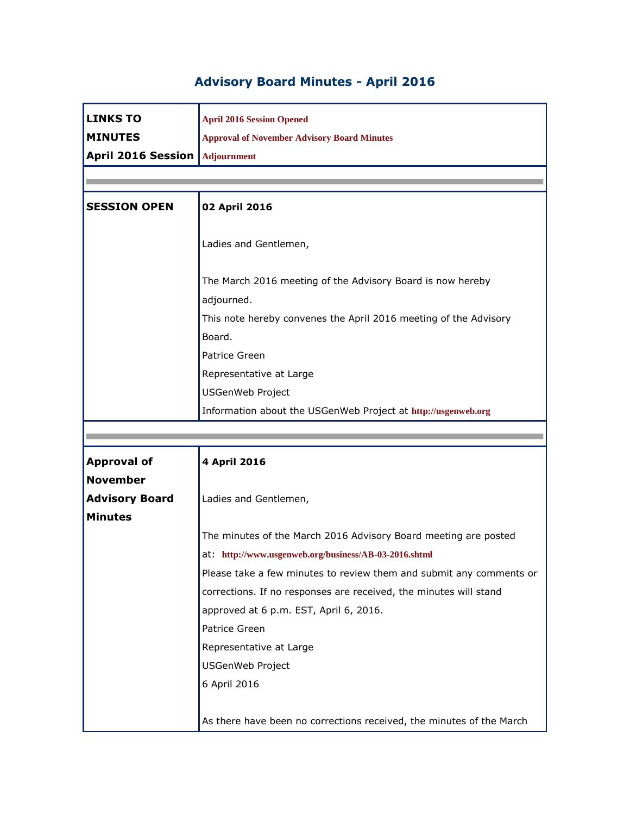## **Advisory Board Minutes - April 2016**

| <b>LINKS TO</b>           | <b>April 2016 Session Opened</b>                                    |
|---------------------------|---------------------------------------------------------------------|
| <b>MINUTES</b>            | <b>Approval of November Advisory Board Minutes</b>                  |
| <b>April 2016 Session</b> | Adjournment                                                         |
|                           |                                                                     |
|                           |                                                                     |
| <b>SESSION OPEN</b>       | 02 April 2016                                                       |
|                           |                                                                     |
|                           | Ladies and Gentlemen,                                               |
|                           |                                                                     |
|                           | The March 2016 meeting of the Advisory Board is now hereby          |
|                           | adjourned.                                                          |
|                           | This note hereby convenes the April 2016 meeting of the Advisory    |
|                           | Board.                                                              |
|                           | Patrice Green                                                       |
|                           | Representative at Large                                             |
|                           | <b>USGenWeb Project</b>                                             |
|                           | Information about the USGenWeb Project at http://usgenweb.org       |
|                           |                                                                     |
|                           |                                                                     |
|                           |                                                                     |
| <b>Approval of</b>        | 4 April 2016                                                        |
| <b>November</b>           |                                                                     |
| <b>Advisory Board</b>     | Ladies and Gentlemen,                                               |
| <b>Minutes</b>            |                                                                     |
|                           | The minutes of the March 2016 Advisory Board meeting are posted     |
|                           | at: http://www.usgenweb.org/business/AB-03-2016.shtml               |
|                           | Please take a few minutes to review them and submit any comments or |
|                           | corrections. If no responses are received, the minutes will stand   |
|                           | approved at 6 p.m. EST, April 6, 2016.                              |
|                           | Patrice Green                                                       |
|                           | Representative at Large                                             |
|                           | <b>USGenWeb Project</b>                                             |
|                           | 6 April 2016                                                        |
|                           |                                                                     |